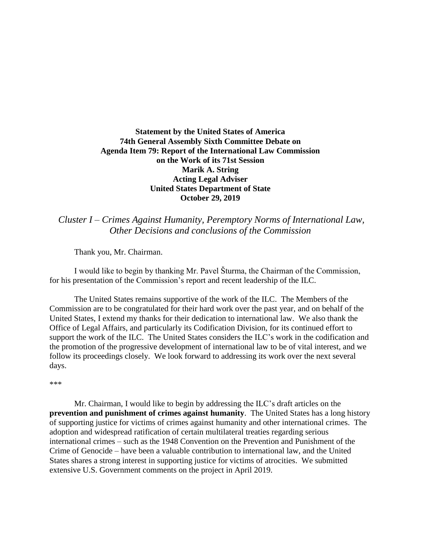## **Statement by the United States of America 74th General Assembly Sixth Committee Debate on Agenda Item 79: Report of the International Law Commission on the Work of its 71st Session Marik A. String Acting Legal Adviser United States Department of State October 29, 2019**

*Cluster I – Crimes Against Humanity, Peremptory Norms of International Law, Other Decisions and conclusions of the Commission*

Thank you, Mr. Chairman.

I would like to begin by thanking Mr. Pavel Šturma, the Chairman of the Commission, for his presentation of the Commission's report and recent leadership of the ILC.

The United States remains supportive of the work of the ILC. The Members of the Commission are to be congratulated for their hard work over the past year, and on behalf of the United States, I extend my thanks for their dedication to international law. We also thank the Office of Legal Affairs, and particularly its Codification Division, for its continued effort to support the work of the ILC. The United States considers the ILC's work in the codification and the promotion of the progressive development of international law to be of vital interest, and we follow its proceedings closely. We look forward to addressing its work over the next several days.

\*\*\*

Mr. Chairman, I would like to begin by addressing the ILC's draft articles on the **prevention and punishment of crimes against humanity**. The United States has a long history of supporting justice for victims of crimes against humanity and other international crimes. The adoption and widespread ratification of certain multilateral treaties regarding serious international crimes – such as the 1948 Convention on the Prevention and Punishment of the Crime of Genocide – have been a valuable contribution to international law, and the United States shares a strong interest in supporting justice for victims of atrocities. We submitted extensive U.S. Government comments on the project in April 2019.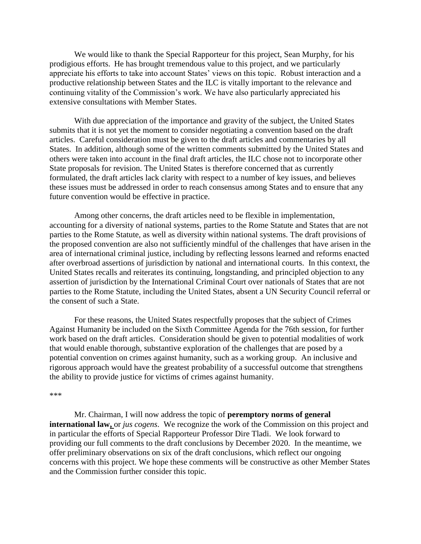We would like to thank the Special Rapporteur for this project, Sean Murphy, for his prodigious efforts. He has brought tremendous value to this project, and we particularly appreciate his efforts to take into account States' views on this topic. Robust interaction and a productive relationship between States and the ILC is vitally important to the relevance and continuing vitality of the Commission's work. We have also particularly appreciated his extensive consultations with Member States.

With due appreciation of the importance and gravity of the subject, the United States submits that it is not yet the moment to consider negotiating a convention based on the draft articles. Careful consideration must be given to the draft articles and commentaries by all States. In addition, although some of the written comments submitted by the United States and others were taken into account in the final draft articles, the ILC chose not to incorporate other State proposals for revision. The United States is therefore concerned that as currently formulated, the draft articles lack clarity with respect to a number of key issues, and believes these issues must be addressed in order to reach consensus among States and to ensure that any future convention would be effective in practice.

Among other concerns, the draft articles need to be flexible in implementation, accounting for a diversity of national systems, parties to the Rome Statute and States that are not parties to the Rome Statute, as well as diversity within national systems. The draft provisions of the proposed convention are also not sufficiently mindful of the challenges that have arisen in the area of international criminal justice, including by reflecting lessons learned and reforms enacted after overbroad assertions of jurisdiction by national and international courts. In this context, the United States recalls and reiterates its continuing, longstanding, and principled objection to any assertion of jurisdiction by the International Criminal Court over nationals of States that are not parties to the Rome Statute, including the United States, absent a UN Security Council referral or the consent of such a State.

For these reasons, the United States respectfully proposes that the subject of Crimes Against Humanity be included on the Sixth Committee Agenda for the 76th session, for further work based on the draft articles. Consideration should be given to potential modalities of work that would enable thorough, substantive exploration of the challenges that are posed by a potential convention on crimes against humanity, such as a working group. An inclusive and rigorous approach would have the greatest probability of a successful outcome that strengthens the ability to provide justice for victims of crimes against humanity.

## \*\*\*

Mr. Chairman, I will now address the topic of **peremptory norms of general international law,** or *jus cogens*. We recognize the work of the Commission on this project and in particular the efforts of Special Rapporteur Professor Dire Tladi. We look forward to providing our full comments to the draft conclusions by December 2020. In the meantime, we offer preliminary observations on six of the draft conclusions, which reflect our ongoing concerns with this project. We hope these comments will be constructive as other Member States and the Commission further consider this topic.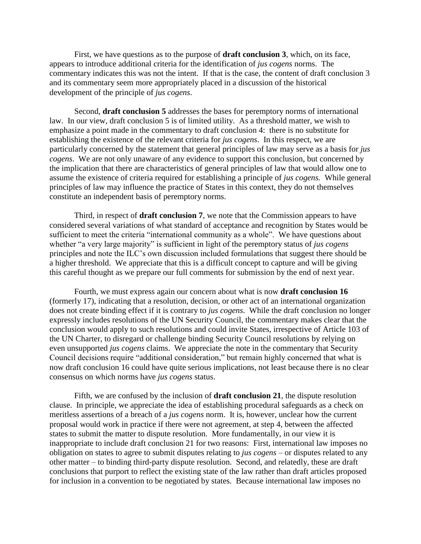First, we have questions as to the purpose of **draft conclusion 3**, which, on its face, appears to introduce additional criteria for the identification of *jus cogens* norms. The commentary indicates this was not the intent. If that is the case, the content of draft conclusion 3 and its commentary seem more appropriately placed in a discussion of the historical development of the principle of *jus cogens*.

Second, **draft conclusion 5** addresses the bases for peremptory norms of international law. In our view, draft conclusion 5 is of limited utility. As a threshold matter, we wish to emphasize a point made in the commentary to draft conclusion 4: there is no substitute for establishing the existence of the relevant criteria for *jus cogens*. In this respect, we are particularly concerned by the statement that general principles of law may serve as a basis for *jus cogens*. We are not only unaware of any evidence to support this conclusion, but concerned by the implication that there are characteristics of general principles of law that would allow one to assume the existence of criteria required for establishing a principle of *jus cogens.* While general principles of law may influence the practice of States in this context, they do not themselves constitute an independent basis of peremptory norms.

Third, in respect of **draft conclusion 7**, we note that the Commission appears to have considered several variations of what standard of acceptance and recognition by States would be sufficient to meet the criteria "international community as a whole". We have questions about whether "a very large majority" is sufficient in light of the peremptory status of *jus cogens*  principles and note the ILC's own discussion included formulations that suggest there should be a higher threshold. We appreciate that this is a difficult concept to capture and will be giving this careful thought as we prepare our full comments for submission by the end of next year.

Fourth, we must express again our concern about what is now **draft conclusion 16** (formerly 17), indicating that a resolution, decision, or other act of an international organization does not create binding effect if it is contrary to *jus cogens*. While the draft conclusion no longer expressly includes resolutions of the UN Security Council, the commentary makes clear that the conclusion would apply to such resolutions and could invite States, irrespective of Article 103 of the UN Charter, to disregard or challenge binding Security Council resolutions by relying on even unsupported *jus cogens* claims. We appreciate the note in the commentary that Security Council decisions require "additional consideration," but remain highly concerned that what is now draft conclusion 16 could have quite serious implications, not least because there is no clear consensus on which norms have *jus cogens* status.

Fifth, we are confused by the inclusion of **draft conclusion 21**, the dispute resolution clause. In principle, we appreciate the idea of establishing procedural safeguards as a check on meritless assertions of a breach of a *jus cogens* norm. It is, however, unclear how the current proposal would work in practice if there were not agreement, at step 4, between the affected states to submit the matter to dispute resolution. More fundamentally, in our view it is inappropriate to include draft conclusion 21 for two reasons: First, international law imposes no obligation on states to agree to submit disputes relating to *jus cogens* – or disputes related to any other matter – to binding third-party dispute resolution. Second, and relatedly, these are draft conclusions that purport to reflect the existing state of the law rather than draft articles proposed for inclusion in a convention to be negotiated by states. Because international law imposes no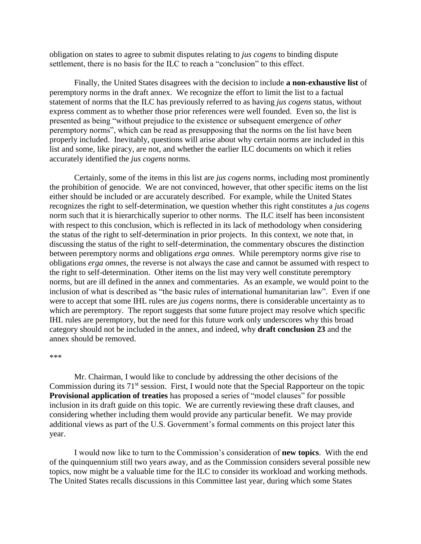obligation on states to agree to submit disputes relating to *jus cogens* to binding dispute settlement, there is no basis for the ILC to reach a "conclusion" to this effect.

Finally, the United States disagrees with the decision to include **a non-exhaustive list** of peremptory norms in the draft annex. We recognize the effort to limit the list to a factual statement of norms that the ILC has previously referred to as having *jus cogens* status, without express comment as to whether those prior references were well founded. Even so, the list is presented as being "without prejudice to the existence or subsequent emergence of *other* peremptory norms", which can be read as presupposing that the norms on the list have been properly included. Inevitably, questions will arise about why certain norms are included in this list and some, like piracy, are not, and whether the earlier ILC documents on which it relies accurately identified the *jus cogens* norms.

Certainly, some of the items in this list are *jus cogens* norms, including most prominently the prohibition of genocide. We are not convinced, however, that other specific items on the list either should be included or are accurately described. For example, while the United States recognizes the right to self-determination, we question whether this right constitutes a *jus cogens* norm such that it is hierarchically superior to other norms. The ILC itself has been inconsistent with respect to this conclusion, which is reflected in its lack of methodology when considering the status of the right to self-determination in prior projects. In this context, we note that, in discussing the status of the right to self-determination, the commentary obscures the distinction between peremptory norms and obligations *erga omnes*. While peremptory norms give rise to obligations *erga omnes*, the reverse is not always the case and cannot be assumed with respect to the right to self-determination. Other items on the list may very well constitute peremptory norms, but are ill defined in the annex and commentaries. As an example, we would point to the inclusion of what is described as "the basic rules of international humanitarian law". Even if one were to accept that some IHL rules are *jus cogens* norms, there is considerable uncertainty as to which are peremptory. The report suggests that some future project may resolve which specific IHL rules are peremptory, but the need for this future work only underscores why this broad category should not be included in the annex, and indeed, why **draft conclusion 23** and the annex should be removed.

## \*\*\*

Mr. Chairman, I would like to conclude by addressing the other decisions of the Commission during its  $71<sup>st</sup>$  session. First, I would note that the Special Rapporteur on the topic **Provisional application of treaties** has proposed a series of "model clauses" for possible inclusion in its draft guide on this topic. We are currently reviewing these draft clauses, and considering whether including them would provide any particular benefit. We may provide additional views as part of the U.S. Government's formal comments on this project later this year.

I would now like to turn to the Commission's consideration of **new topics**. With the end of the quinquennium still two years away, and as the Commission considers several possible new topics, now might be a valuable time for the ILC to consider its workload and working methods. The United States recalls discussions in this Committee last year, during which some States